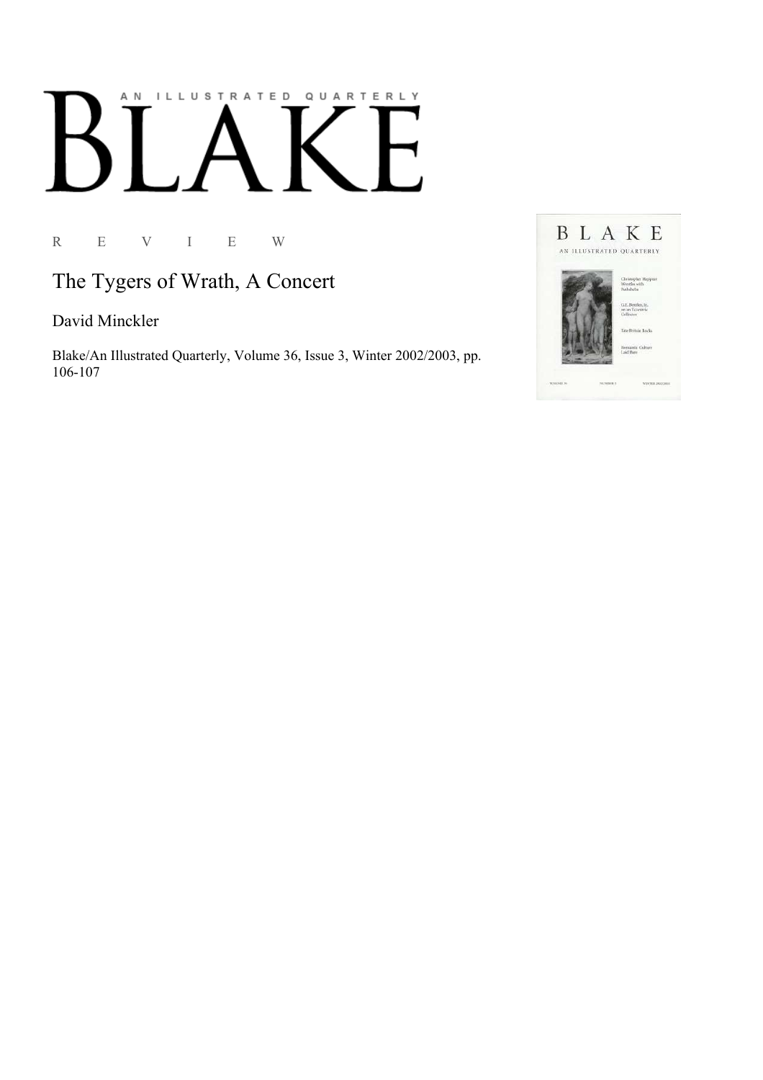## AN ILLUSTRATED QUARTERLY

R E V I E W

The Tygers of Wrath, A Concert

David Minckler

Blake/An Illustrated Quarterly, Volume 36, Issue 3, Winter 2002/2003, pp. 106-107

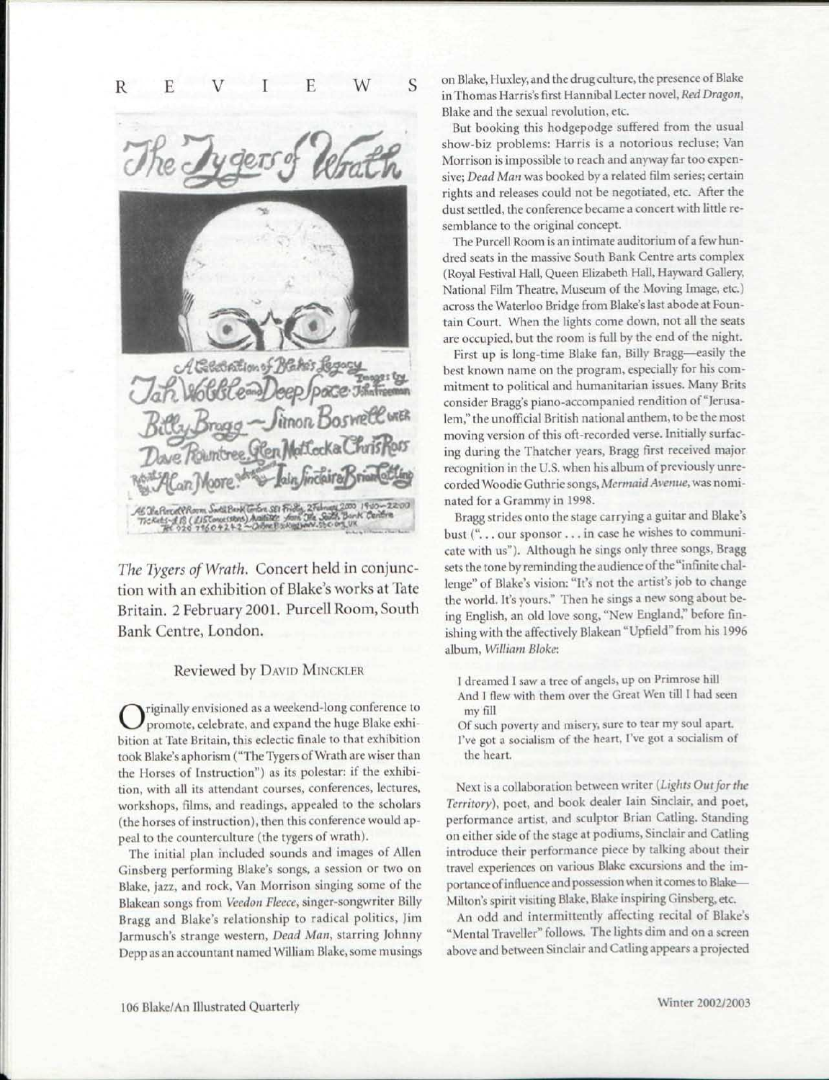

*The Tygers of Wrath.* Concert held in conjunction with an exhibition of Blake's works at Tate Britain. 2 February 2001. Purcell Room, South Bank Centre, London.

## Reviewed by DAVID MINCKLER

**C** priginally envisioned as a weekend-long conference to promote, celebrate, and expand the huge Blake exhibition at Tate Britain, this eclectic finale to that exhibition riginally envisioned as a weekend-long conference to promote, celebrate, and expand the huge Blake exhitook Blake's aphorism ("The Tygers of Wrath are wiser than the Horses of Instruction") as its polestar: if the exhibition, with all its attendant courses, conferences, lectures, workshops, films, and readings, appealed to the scholars (the horses of instruction), then this conference would appeal to the counterculture (the tygers of wrath).

The initial plan included sounds and images of Allen Ginsberg performing Blake's songs, a session or two on Blake, jazz, and rock, Van Morrison singing some of the Blakean songs from *Veedon Fleece,* singer-songwriter Billy Bragg and Blake's relationship to radical politics, Jim Jarmusch's strange western, *Dead Man,* starring Johnny Depp as an accountant named William Blake, some musings on Blake, Huxley, and the drug culture, the presence of Blake in Thomas Harris's first Hannibal Lecter novel, *Red Dragon,*  Blake and the sexual revolution, etc.

But booking this hodgepodge suffered from the usual show-biz problems: Harris is a notorious recluse; Van Morrison is impossible to reach and anyway far too expensive; *Dead Man* was booked by a related film series; certain rights and releases could not be negotiated, etc. After the dust settled, the conference became a concert with little resemblance to the original concept.

The Purcell Room is an intimate auditorium of a few hundred seats in the massive South Bank Centre arts complex (Royal Festival Hall, Queen Elizabeth Hall, Hayward Gallery, National Film Theatre, Museum of the Moving Image, etc.) across the Waterloo Bridge from Blake's last abode at Fountain Court. When the lights come down, not all the seats are occupied, but the room is full by the end of the night.

First up is long-time Blake fan, Billy Bragg—easily the best known name on the program, especially for his commitment to political and humanitarian issues. Many Brits consider Bragg's piano-accompanied rendition of "Jerusalem," the unofficial British national anthem, to be the most moving version of this oft-recorded verse. Initially surfacing during the Thatcher years, Bragg first received major recognition in the U.S. when his album of previously unrecorded Woodie Guthrie songs, *Mermaid Avenue,* was nominated for a Grammy in 1998.

Bragg strides onto the stage carrying a guitar and Blake's bust ("... our sponsor .. . in case he wishes to communicate with us"). Although he sings only three songs, Bragg sets the tone by reminding the audience of the "infinite challenge" of Blake's vision: "It's not the artist's job to change the world. It's yours." Then he sings a new song about being English, an old love song, "New England," before finishing with the affectively Blakean "Upfield" from his 1996 album, *William Bloke:* 

I dreamed I saw a tree of angels, up on Primrose hill And I flew with them over the Great Wen till I had seen my fill

Of such poverty and misery, sure to tear my soul apart. I've got a socialism of the heart, I've got a socialism of the heart.

Next is a collaboration between writer *{Lights Out for the Territory),* poet, and book dealer Iain Sinclair, and poet, performance artist, and sculptor Brian Catling. Standing on either side of the stage at podiums, Sinclair and Catling introduce their performance piece by talking about their travel experiences on various Blake excursions and the importance of influence and possession when it comes to Blake-Milton's spirit visiting Blake, Blake inspiring Ginsberg, etc.

An odd and intermittently affecting recital of Blake's "Mental Traveller" follows. The lights dim and on a screen above and between Sinclair and Catling appears a projected